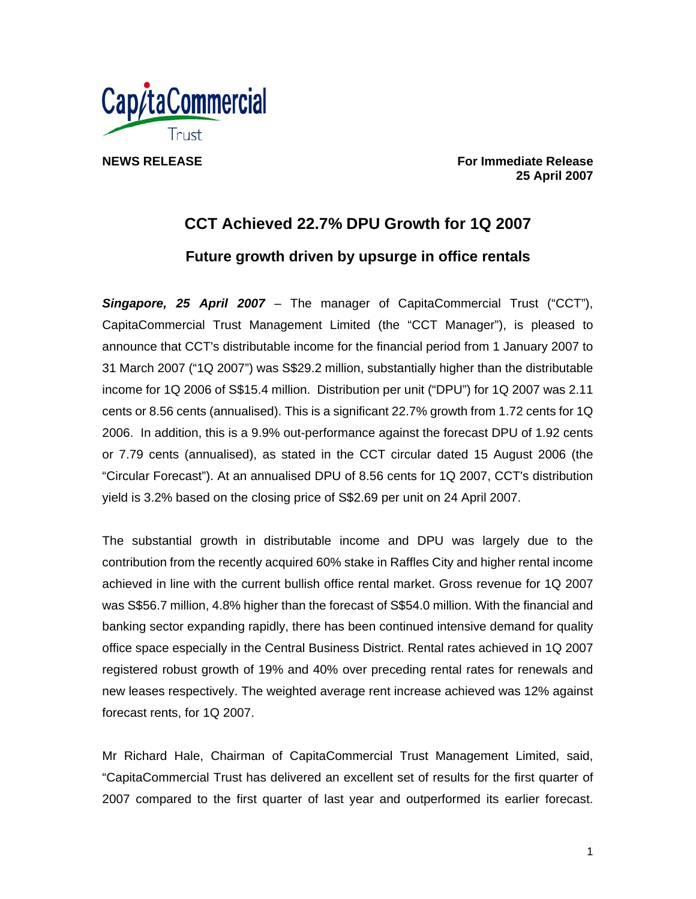

**NEWS RELEASE For Immediate Release 25 April 2007** 

# **CCT Achieved 22.7% DPU Growth for 1Q 2007 Future growth driven by upsurge in office rentals**

*Singapore, 25 April 2007* – The manager of CapitaCommercial Trust ("CCT"), CapitaCommercial Trust Management Limited (the "CCT Manager"), is pleased to announce that CCT's distributable income for the financial period from 1 January 2007 to 31 March 2007 ("1Q 2007") was S\$29.2 million, substantially higher than the distributable income for 1Q 2006 of S\$15.4 million. Distribution per unit ("DPU") for 1Q 2007 was 2.11 cents or 8.56 cents (annualised). This is a significant 22.7% growth from 1.72 cents for 1Q 2006. In addition, this is a 9.9% out-performance against the forecast DPU of 1.92 cents or 7.79 cents (annualised), as stated in the CCT circular dated 15 August 2006 (the "Circular Forecast"). At an annualised DPU of 8.56 cents for 1Q 2007, CCT's distribution yield is 3.2% based on the closing price of S\$2.69 per unit on 24 April 2007.

The substantial growth in distributable income and DPU was largely due to the contribution from the recently acquired 60% stake in Raffles City and higher rental income achieved in line with the current bullish office rental market. Gross revenue for 1Q 2007 was S\$56.7 million, 4.8% higher than the forecast of S\$54.0 million. With the financial and banking sector expanding rapidly, there has been continued intensive demand for quality office space especially in the Central Business District. Rental rates achieved in 1Q 2007 registered robust growth of 19% and 40% over preceding rental rates for renewals and new leases respectively. The weighted average rent increase achieved was 12% against forecast rents, for 1Q 2007.

Mr Richard Hale, Chairman of CapitaCommercial Trust Management Limited, said, "CapitaCommercial Trust has delivered an excellent set of results for the first quarter of 2007 compared to the first quarter of last year and outperformed its earlier forecast.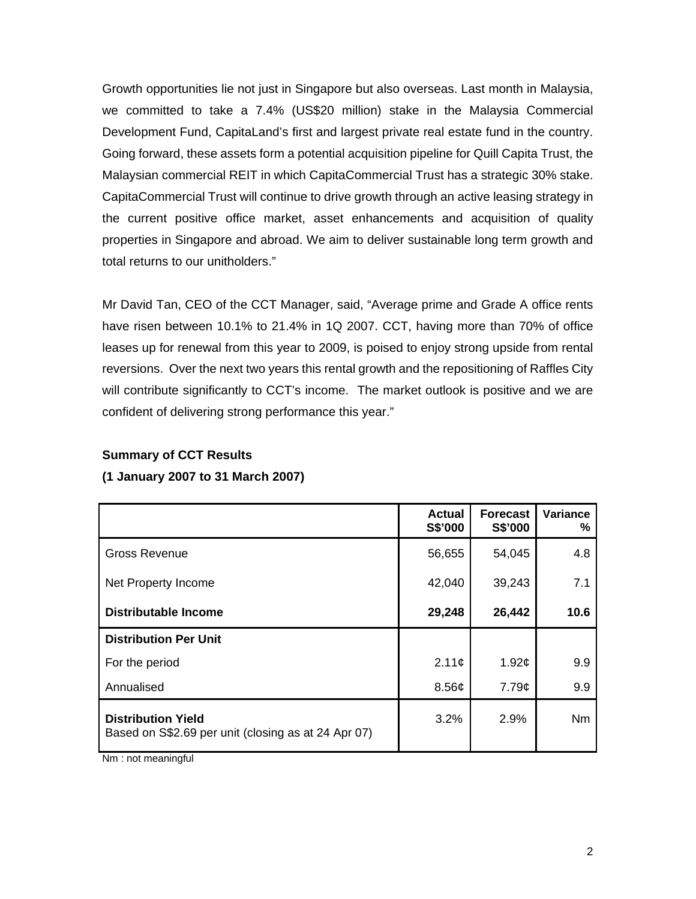Growth opportunities lie not just in Singapore but also overseas. Last month in Malaysia, we committed to take a 7.4% (US\$20 million) stake in the Malaysia Commercial Development Fund, CapitaLand's first and largest private real estate fund in the country. Going forward, these assets form a potential acquisition pipeline for Quill Capita Trust, the Malaysian commercial REIT in which CapitaCommercial Trust has a strategic 30% stake. CapitaCommercial Trust will continue to drive growth through an active leasing strategy in the current positive office market, asset enhancements and acquisition of quality properties in Singapore and abroad. We aim to deliver sustainable long term growth and total returns to our unitholders."

Mr David Tan, CEO of the CCT Manager, said, "Average prime and Grade A office rents have risen between 10.1% to 21.4% in 1Q 2007. CCT, having more than 70% of office leases up for renewal from this year to 2009, is poised to enjoy strong upside from rental reversions. Over the next two years this rental growth and the repositioning of Raffles City will contribute significantly to CCT's income. The market outlook is positive and we are confident of delivering strong performance this year."

# **Summary of CCT Results**

# **(1 January 2007 to 31 March 2007)**

|                                                                                  | <b>Actual</b><br>S\$'000 | <b>Forecast</b><br>S\$'000 | <b>Variance</b><br>℅ |
|----------------------------------------------------------------------------------|--------------------------|----------------------------|----------------------|
| <b>Gross Revenue</b>                                                             | 56,655                   | 54,045                     | 4.8                  |
| Net Property Income                                                              | 42,040                   | 39,243                     | 7.1                  |
| <b>Distributable Income</b>                                                      | 29,248                   | 26,442                     | 10.6                 |
| <b>Distribution Per Unit</b>                                                     |                          |                            |                      |
| For the period                                                                   | 2.11 <sub>c</sub>        | 1.92c                      | 9.9                  |
| Annualised                                                                       | 8.56¢                    | 7.79¢                      | 9.9                  |
| <b>Distribution Yield</b><br>Based on S\$2.69 per unit (closing as at 24 Apr 07) | 3.2%                     | 2.9%                       | Nm                   |

Nm : not meaningful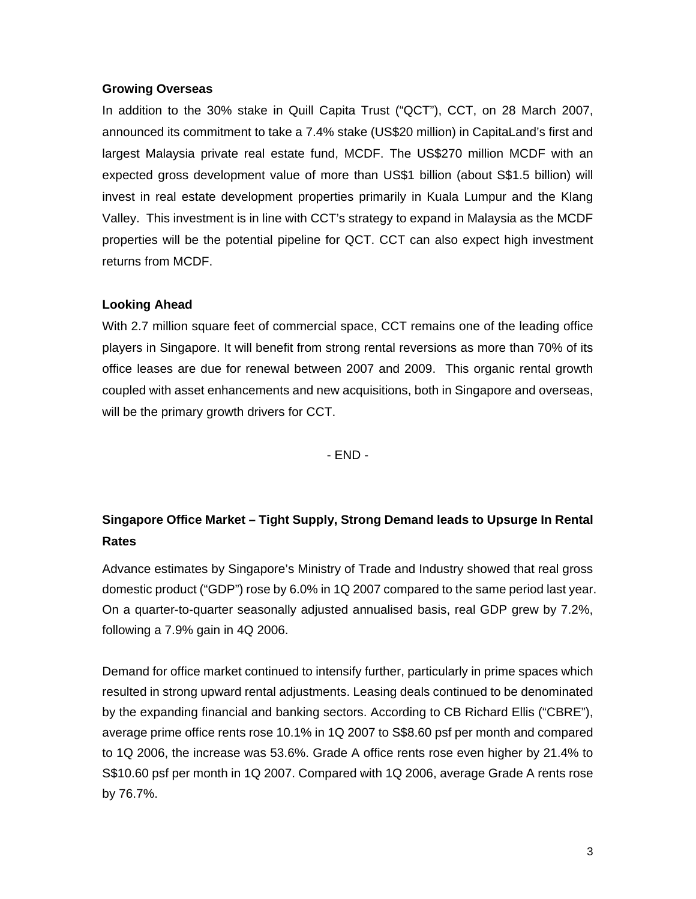#### **Growing Overseas**

In addition to the 30% stake in Quill Capita Trust ("QCT"), CCT, on 28 March 2007, announced its commitment to take a 7.4% stake (US\$20 million) in CapitaLand's first and largest Malaysia private real estate fund, MCDF. The US\$270 million MCDF with an expected gross development value of more than US\$1 billion (about S\$1.5 billion) will invest in real estate development properties primarily in Kuala Lumpur and the Klang Valley. This investment is in line with CCT's strategy to expand in Malaysia as the MCDF properties will be the potential pipeline for QCT. CCT can also expect high investment returns from MCDF.

# **Looking Ahead**

With 2.7 million square feet of commercial space, CCT remains one of the leading office players in Singapore. It will benefit from strong rental reversions as more than 70% of its office leases are due for renewal between 2007 and 2009. This organic rental growth coupled with asset enhancements and new acquisitions, both in Singapore and overseas, will be the primary growth drivers for CCT.

- END -

# **Singapore Office Market – Tight Supply, Strong Demand leads to Upsurge In Rental Rates**

Advance estimates by Singapore's Ministry of Trade and Industry showed that real gross domestic product ("GDP") rose by 6.0% in 1Q 2007 compared to the same period last year. On a quarter-to-quarter seasonally adjusted annualised basis, real GDP grew by 7.2%, following a 7.9% gain in 4Q 2006.

Demand for office market continued to intensify further, particularly in prime spaces which resulted in strong upward rental adjustments. Leasing deals continued to be denominated by the expanding financial and banking sectors. According to CB Richard Ellis ("CBRE"), average prime office rents rose 10.1% in 1Q 2007 to S\$8.60 psf per month and compared to 1Q 2006, the increase was 53.6%. Grade A office rents rose even higher by 21.4% to S\$10.60 psf per month in 1Q 2007. Compared with 1Q 2006, average Grade A rents rose by 76.7%.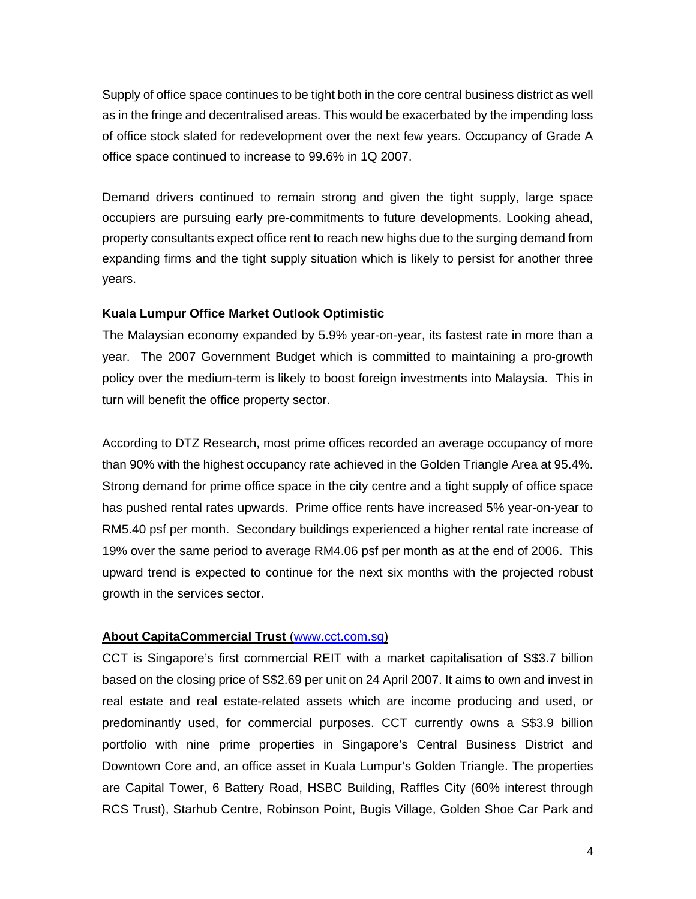Supply of office space continues to be tight both in the core central business district as well as in the fringe and decentralised areas. This would be exacerbated by the impending loss of office stock slated for redevelopment over the next few years. Occupancy of Grade A office space continued to increase to 99.6% in 1Q 2007.

Demand drivers continued to remain strong and given the tight supply, large space occupiers are pursuing early pre-commitments to future developments. Looking ahead, property consultants expect office rent to reach new highs due to the surging demand from expanding firms and the tight supply situation which is likely to persist for another three years.

#### **Kuala Lumpur Office Market Outlook Optimistic**

The Malaysian economy expanded by 5.9% year-on-year, its fastest rate in more than a year. The 2007 Government Budget which is committed to maintaining a pro-growth policy over the medium-term is likely to boost foreign investments into Malaysia. This in turn will benefit the office property sector.

According to DTZ Research, most prime offices recorded an average occupancy of more than 90% with the highest occupancy rate achieved in the Golden Triangle Area at 95.4%. Strong demand for prime office space in the city centre and a tight supply of office space has pushed rental rates upwards. Prime office rents have increased 5% year-on-year to RM5.40 psf per month. Secondary buildings experienced a higher rental rate increase of 19% over the same period to average RM4.06 psf per month as at the end of 2006. This upward trend is expected to continue for the next six months with the projected robust growth in the services sector.

#### **About CapitaCommercial Trust** (www.cct.com.sg)

CCT is Singapore's first commercial REIT with a market capitalisation of S\$3.7 billion based on the closing price of S\$2.69 per unit on 24 April 2007. It aims to own and invest in real estate and real estate-related assets which are income producing and used, or predominantly used, for commercial purposes. CCT currently owns a S\$3.9 billion portfolio with nine prime properties in Singapore's Central Business District and Downtown Core and, an office asset in Kuala Lumpur's Golden Triangle. The properties are Capital Tower, 6 Battery Road, HSBC Building, Raffles City (60% interest through RCS Trust), Starhub Centre, Robinson Point, Bugis Village, Golden Shoe Car Park and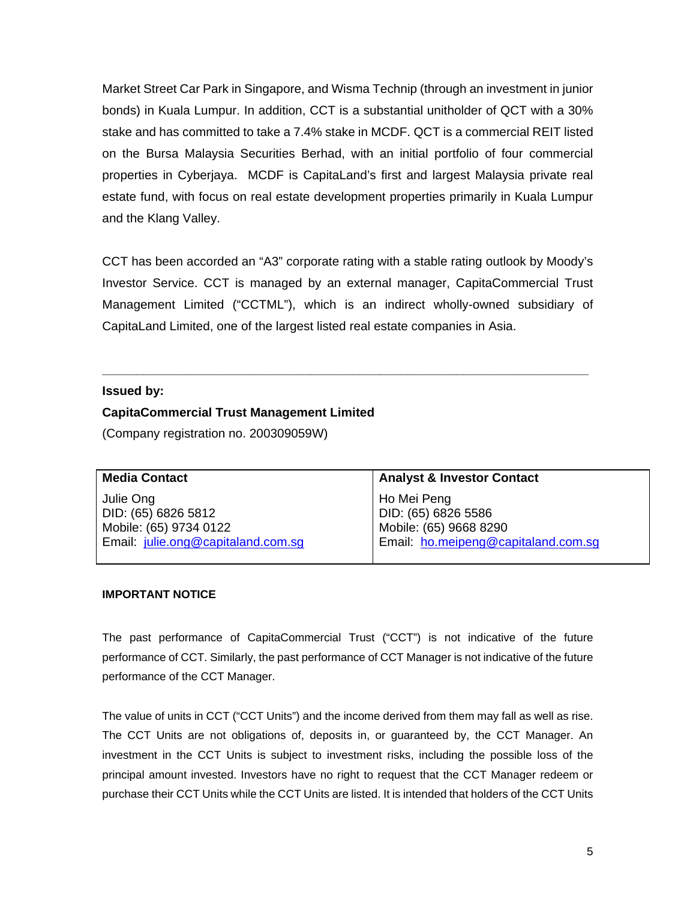Market Street Car Park in Singapore, and Wisma Technip (through an investment in junior bonds) in Kuala Lumpur. In addition, CCT is a substantial unitholder of QCT with a 30% stake and has committed to take a 7.4% stake in MCDF. QCT is a commercial REIT listed on the Bursa Malaysia Securities Berhad, with an initial portfolio of four commercial properties in Cyberjaya. MCDF is CapitaLand's first and largest Malaysia private real estate fund, with focus on real estate development properties primarily in Kuala Lumpur and the Klang Valley.

CCT has been accorded an "A3" corporate rating with a stable rating outlook by Moody's Investor Service. CCT is managed by an external manager, CapitaCommercial Trust Management Limited ("CCTML"), which is an indirect wholly-owned subsidiary of CapitaLand Limited, one of the largest listed real estate companies in Asia.

**\_\_\_\_\_\_\_\_\_\_\_\_\_\_\_\_\_\_\_\_\_\_\_\_\_\_\_\_\_\_\_\_\_\_\_\_\_\_\_\_\_\_\_\_\_\_\_\_\_\_\_\_\_\_\_\_\_\_\_\_\_\_\_\_\_\_\_\_\_\_** 

# **Issued by:**

# **CapitaCommercial Trust Management Limited**

(Company registration no. 200309059W)

| <b>Media Contact</b>               | <b>Analyst &amp; Investor Contact</b> |
|------------------------------------|---------------------------------------|
| Julie Ong                          | Ho Mei Peng                           |
| DID: (65) 6826 5812                | DID: (65) 6826 5586                   |
| Mobile: (65) 9734 0122             | Mobile: (65) 9668 8290                |
| Email: julie.ong@capitaland.com.sq | Email: ho.meipeng@capitaland.com.sq   |

#### **IMPORTANT NOTICE**

The past performance of CapitaCommercial Trust ("CCT") is not indicative of the future performance of CCT. Similarly, the past performance of CCT Manager is not indicative of the future performance of the CCT Manager.

The value of units in CCT ("CCT Units") and the income derived from them may fall as well as rise. The CCT Units are not obligations of, deposits in, or guaranteed by, the CCT Manager. An investment in the CCT Units is subject to investment risks, including the possible loss of the principal amount invested. Investors have no right to request that the CCT Manager redeem or purchase their CCT Units while the CCT Units are listed. It is intended that holders of the CCT Units